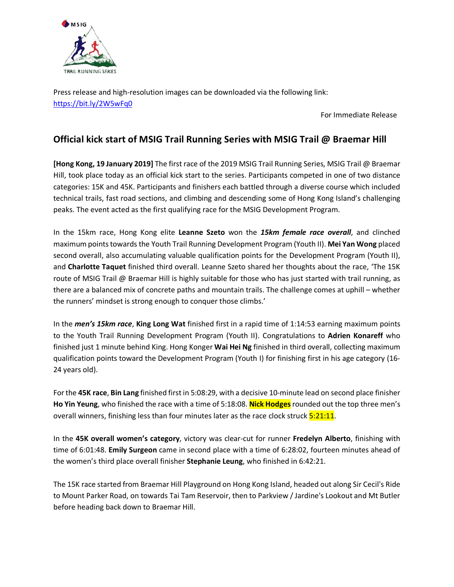

Press release and high-resolution images can be downloaded via the following link: https://bit.ly/2W5wFq0

For Immediate Release

# **Official kick start of MSIG Trail Running Series with MSIG Trail @ Braemar Hill**

**[Hong Kong, 19 January 2019]** The first race of the 2019 MSIG Trail Running Series, MSIG Trail @ Braemar Hill, took place today as an official kick start to the series. Participants competed in one of two distance categories: 15K and 45K. Participants and finishers each battled through a diverse course which included technical trails, fast road sections, and climbing and descending some of Hong Kong Island's challenging peaks. The event acted as the first qualifying race for the MSIG Development Program.

In the 15km race, Hong Kong elite **Leanne Szeto** won the *15km female race overall*, and clinched maximum points towards the Youth Trail Running Development Program (Youth II). **Mei Yan Wong** placed second overall, also accumulating valuable qualification points for the Development Program (Youth II), and **Charlotte Taquet** finished third overall. Leanne Szeto shared her thoughts about the race, 'The 15K route of MSIG Trail @ Braemar Hill is highly suitable for those who has just started with trail running, as there are a balanced mix of concrete paths and mountain trails. The challenge comes at uphill – whether the runners' mindset is strong enough to conquer those climbs.'

In the *men's 15km race*, **King Long Wat** finished first in a rapid time of 1:14:53 earning maximum points to the Youth Trail Running Development Program (Youth II). Congratulations to **Adrien Konareff** who finished just 1 minute behind King. Hong Konger **Wai Hei Ng** finished in third overall, collecting maximum qualification points toward the Development Program (Youth I) for finishing first in his age category (16- 24 years old).

For the **45K race**, **Bin Lang** finished first in 5:08:29, with a decisive 10-minute lead on second place finisher **Ho Yin Yeung**, who finished the race with a time of 5:18:08. **Nick Hodges**rounded out the top three men's overall winners, finishing less than four minutes later as the race clock struck 5:21:11.

In the **45K overall women's category**, victory was clear-cut for runner **Fredelyn Alberto**, finishing with time of 6:01:48. **Emily Surgeon** came in second place with a time of 6:28:02, fourteen minutes ahead of the women's third place overall finisher **Stephanie Leung**, who finished in 6:42:21.

The 15K race started from Braemar Hill Playground on Hong Kong Island, headed out along Sir Cecil's Ride to Mount Parker Road, on towards Tai Tam Reservoir, then to Parkview / Jardine's Lookout and Mt Butler before heading back down to Braemar Hill.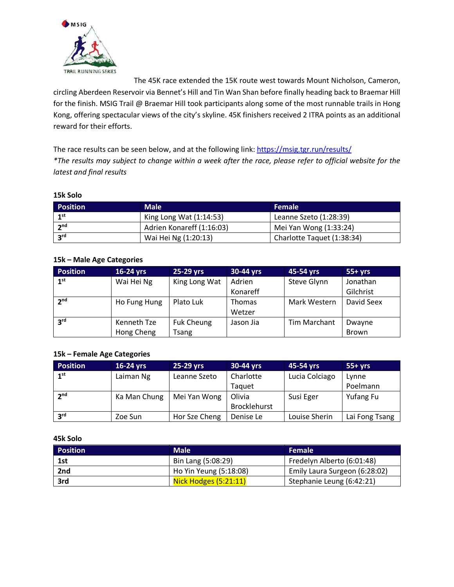

The 45K race extended the 15K route west towards Mount Nicholson, Cameron,

circling Aberdeen Reservoir via Bennet's Hill and Tin Wan Shan before finally heading back to Braemar Hill for the finish. MSIG Trail @ Braemar Hill took participants along some of the most runnable trails in Hong Kong, offering spectacular views of the city's skyline. 45K finishers received 2 ITRA points as an additional reward for their efforts.

The race results can be seen below, and at the following link: https://msig.tgr.run/results/ *\*The results may subject to change within a week after the race, please refer to official website for the latest and final results*

### **15k Solo**

| <b>Position</b> | <b>Male</b>               | <b>Female</b>              |
|-----------------|---------------------------|----------------------------|
| 1 <sup>st</sup> | King Long Wat $(1:14:53)$ | Leanne Szeto (1:28:39)     |
| 2 <sup>nd</sup> | Adrien Konareff (1:16:03) | Mei Yan Wong (1:33:24)     |
| 3 <sup>rd</sup> | Wai Hei Ng (1:20:13)      | Charlotte Taquet (1:38:34) |

# **15k – Male Age Categories**

| <b>Position</b> | 16-24 yrs    | 25-29 yrs         | 30-44 yrs     | 45-54 yrs    | $55+yrs$     |
|-----------------|--------------|-------------------|---------------|--------------|--------------|
| 1 <sup>st</sup> | Wai Hei Ng   | King Long Wat     | Adrien        | Steve Glynn  | Jonathan     |
|                 |              |                   | Konareff      |              | Gilchrist    |
| 2 <sup>nd</sup> | Ho Fung Hung | Plato Luk         | <b>Thomas</b> | Mark Western | David Seex   |
|                 |              |                   | Wetzer        |              |              |
| 3 <sup>rd</sup> | Kenneth Tze  | <b>Fuk Cheung</b> | Jason Jia     | Tim Marchant | Dwayne       |
|                 | Hong Cheng   | Tsang             |               |              | <b>Brown</b> |

# **15k – Female Age Categories**

| <b>Position</b> | $16-24$ yrs  | 25-29 yrs     | 30-44 yrs    | 45-54 yrs      | $55+vrs$       |
|-----------------|--------------|---------------|--------------|----------------|----------------|
| 1 <sup>st</sup> | Laiman Ng    | Leanne Szeto  | Charlotte    | Lucia Colciago | Lynne          |
|                 |              |               | Taguet       |                | Poelmann       |
| 2 <sup>nd</sup> | Ka Man Chung | Mei Yan Wong  | Olivia       | Susi Eger      | Yufang Fu      |
|                 |              |               | Brocklehurst |                |                |
| <b>2rd</b>      | Zoe Sun      | Hor Sze Cheng | Denise Le    | Louise Sherin  | Lai Fong Tsang |

#### **45k Solo**

| <b>Position</b> | <b>Male</b>            | <b>Female</b>                 |
|-----------------|------------------------|-------------------------------|
| 1st             | Bin Lang (5:08:29)     | Fredelyn Alberto (6:01:48)    |
| 2nd             | Ho Yin Yeung (5:18:08) | Emily Laura Surgeon (6:28:02) |
| 3rd             | Nick Hodges (5:21:11)  | Stephanie Leung (6:42:21)     |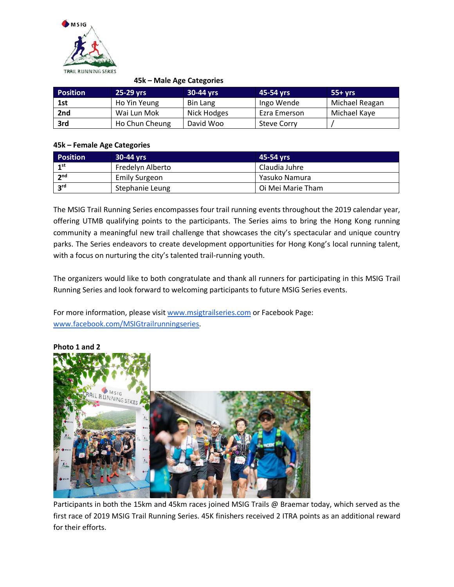

### **45k – Male Age Categories**

| <b>Position</b> | 25-29 yrs      | 30-44 yrs   | 45-54 yrs          | $55+ vrs$      |
|-----------------|----------------|-------------|--------------------|----------------|
| 1st             | Ho Yin Yeung   | Bin Lang    | Ingo Wende         | Michael Reagan |
| 2nd             | Wai Lun Mok    | Nick Hodges | Ezra Emerson       | Michael Kaye   |
| 3rd             | Ho Chun Cheung | David Woo   | <b>Steve Corry</b> |                |

# **45k – Female Age Categories**

| <b>Position</b> | 30-44 yrs            | 45-54 vrs         |
|-----------------|----------------------|-------------------|
| 1st             | Fredelyn Alberto     | Claudia Juhre     |
| 2 <sub>nd</sub> | <b>Emily Surgeon</b> | Yasuko Namura     |
| 2 <sup>rd</sup> | Stephanie Leung      | Oi Mei Marie Tham |

The MSIG Trail Running Series encompasses four trail running events throughout the 2019 calendar year, offering UTMB qualifying points to the participants. The Series aims to bring the Hong Kong running community a meaningful new trail challenge that showcases the city's spectacular and unique country parks. The Series endeavors to create development opportunities for Hong Kong's local running talent, with a focus on nurturing the city's talented trail-running youth.

The organizers would like to both congratulate and thank all runners for participating in this MSIG Trail Running Series and look forward to welcoming participants to future MSIG Series events.

For more information, please visit www.msigtrailseries.com or Facebook Page: www.facebook.com/MSIGtrailrunningseries.



Participants in both the 15km and 45km races joined MSIG Trails @ Braemar today, which served as the first race of 2019 MSIG Trail Running Series. 45K finishers received 2 ITRA points as an additional reward for their efforts.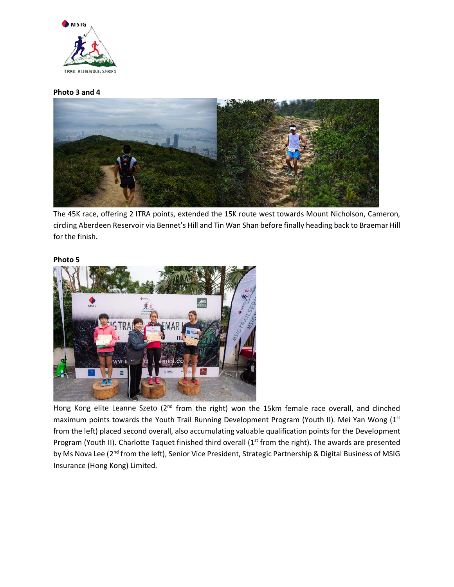

#### **Photo 3 and 4**



The 45K race, offering 2 ITRA points, extended the 15K route west towards Mount Nicholson, Cameron, circling Aberdeen Reservoir via Bennet's Hill and Tin Wan Shan before finally heading back to Braemar Hill for the finish.

#### **Photo 5**



Hong Kong elite Leanne Szeto (2<sup>nd</sup> from the right) won the 15km female race overall, and clinched maximum points towards the Youth Trail Running Development Program (Youth II). Mei Yan Wong (1st from the left) placed second overall, also accumulating valuable qualification points for the Development Program (Youth II). Charlotte Taquet finished third overall (1<sup>st</sup> from the right). The awards are presented by Ms Nova Lee (2<sup>nd</sup> from the left), Senior Vice President, Strategic Partnership & Digital Business of MSIG Insurance (Hong Kong) Limited.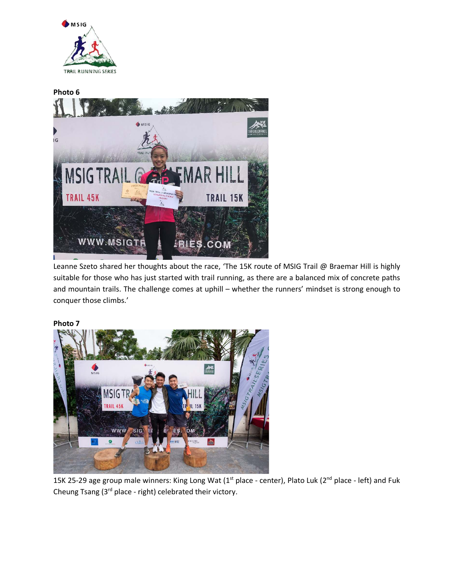



Leanne Szeto shared her thoughts about the race, 'The 15K route of MSIG Trail @ Braemar Hill is highly suitable for those who has just started with trail running, as there are a balanced mix of concrete paths and mountain trails. The challenge comes at uphill – whether the runners' mindset is strong enough to conquer those climbs.'

**Photo 7**



15K 25-29 age group male winners: King Long Wat (1<sup>st</sup> place - center), Plato Luk (2<sup>nd</sup> place - left) and Fuk Cheung Tsang (3rd place - right) celebrated their victory.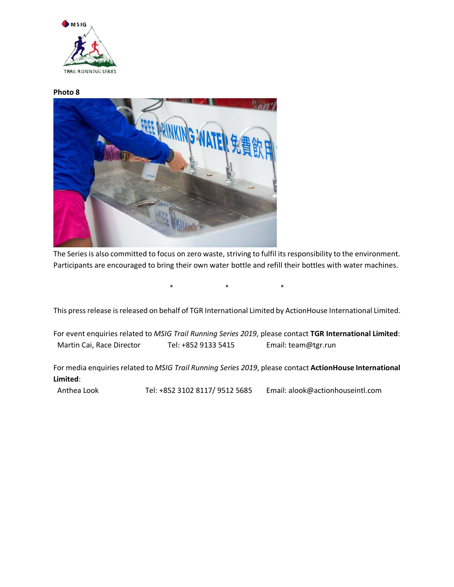

#### **Photo 8**



The Series is also committed to focus on zero waste, striving to fulfil its responsibility to the environment. Participants are encouraged to bring their own water bottle and refill their bottles with water machines.

 $\star$   $\star$   $\star$ 

This press release is released on behalf of TGR International Limited by ActionHouse International Limited.

For event enquiries related to *MSIG Trail Running Series 2019*, please contact **TGR International Limited**: Martin Cai, Race Director Tel: +852 9133 5415 Email: team@tgr.run

For media enquiries related to *MSIG Trail Running Series 2019*, please contact **ActionHouse International Limited**:

Anthea Look Tel: +852 3102 8117/ 9512 5685 Email: alook@actionhouseintl.com